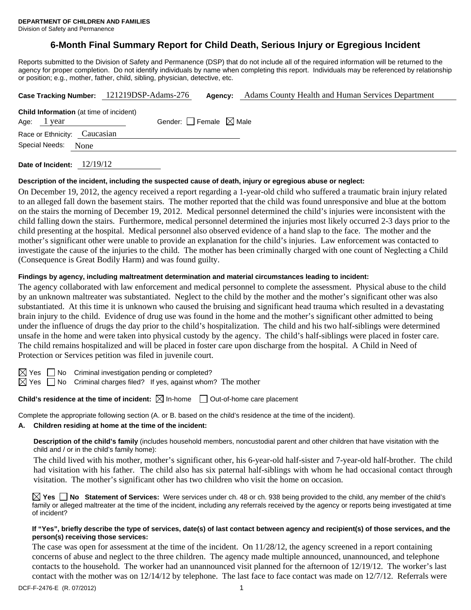# **6-Month Final Summary Report for Child Death, Serious Injury or Egregious Incident**

Reports submitted to the Division of Safety and Permanence (DSP) that do not include all of the required information will be returned to the agency for proper completion. Do not identify individuals by name when completing this report. Individuals may be referenced by relationship or position; e.g., mother, father, child, sibling, physician, detective, etc.

|                                                | Case Tracking Number: 121219DSP-Adams-276 | Agency: | Adams County Health and Human Services Department |  |
|------------------------------------------------|-------------------------------------------|---------|---------------------------------------------------|--|
| <b>Child Information</b> (at time of incident) |                                           |         |                                                   |  |
| Age: 1 year                                    | Gender: Female $\boxtimes$ Male           |         |                                                   |  |
| Race or Ethnicity: Caucasian                   |                                           |         |                                                   |  |
| Special Needs:<br>None                         |                                           |         |                                                   |  |
| $\begin{array}{c} \hline \end{array}$          |                                           |         |                                                   |  |

**Date of Incident:** 12/19/12

#### **Description of the incident, including the suspected cause of death, injury or egregious abuse or neglect:**

On December 19, 2012, the agency received a report regarding a 1-year-old child who suffered a traumatic brain injury related to an alleged fall down the basement stairs. The mother reported that the child was found unresponsive and blue at the bottom on the stairs the morning of December 19, 2012. Medical personnel determined the child's injuries were inconsistent with the child falling down the stairs. Furthermore, medical personnel determined the injuries most likely occurred 2-3 days prior to the child presenting at the hospital. Medical personnel also observed evidence of a hand slap to the face. The mother and the mother's significant other were unable to provide an explanation for the child's injuries. Law enforcement was contacted to investigate the cause of the injuries to the child. The mother has been criminally charged with one count of Neglecting a Child (Consequence is Great Bodily Harm) and was found guilty.

### **Findings by agency, including maltreatment determination and material circumstances leading to incident:**

The agency collaborated with law enforcement and medical personnel to complete the assessment. Physical abuse to the child by an unknown maltreater was substantiated. Neglect to the child by the mother and the mother's significant other was also substantiated. At this time it is unknown who caused the bruising and significant head trauma which resulted in a devastating brain injury to the child. Evidence of drug use was found in the home and the mother's significant other admitted to being under the influence of drugs the day prior to the child's hospitalization. The child and his two half-siblings were determined unsafe in the home and were taken into physical custody by the agency. The child's half-siblings were placed in foster care. The child remains hospitalized and will be placed in foster care upon discharge from the hospital. A Child in Need of Protection or Services petition was filed in juvenile court.

 $\boxtimes$  Yes  $\Box$  No Criminal investigation pending or completed?

 $\boxtimes$  Yes  $\Box$  No Criminal charges filed? If yes, against whom? The mother

**Child's residence at the time of incident:**  $\boxtimes$  In-home  $\Box$  Out-of-home care placement

Complete the appropriate following section (A. or B. based on the child's residence at the time of the incident).

### **A. Children residing at home at the time of the incident:**

**Description of the child's family** (includes household members, noncustodial parent and other children that have visitation with the child and / or in the child's family home):

 The child lived with his mother, mother's significant other, his 6-year-old half-sister and 7-year-old half-brother. The child had visitation with his father. The child also has six paternal half-siblings with whom he had occasional contact through visitation. The mother's significant other has two children who visit the home on occasion.

**Yes No Statement of Services:** Were services under ch. 48 or ch. 938 being provided to the child, any member of the child's family or alleged maltreater at the time of the incident, including any referrals received by the agency or reports being investigated at time of incident?

#### **If "Yes", briefly describe the type of services, date(s) of last contact between agency and recipient(s) of those services, and the person(s) receiving those services:**

The case was open for assessment at the time of the incident. On  $11/28/12$ , the agency screened in a report containing concerns of abuse and neglect to the three children. The agency made multiple announced, unannounced, and telephone contacts to the household. The worker had an unannounced visit planned for the afternoon of 12/19/12. The worker's last contact with the mother was on 12/14/12 by telephone. The last face to face contact was made on 12/7/12. Referrals were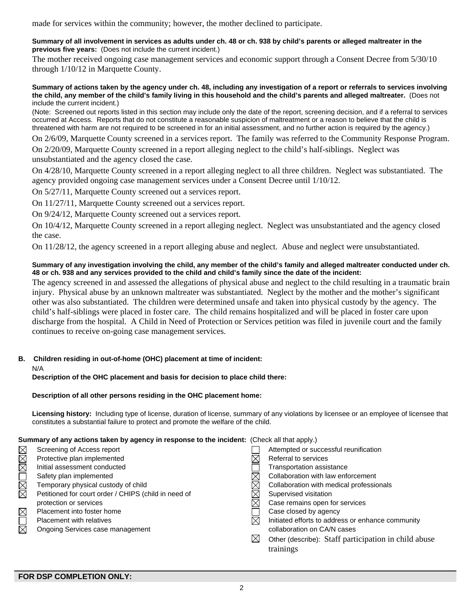made for services within the community; however, the mother declined to participate.

#### **Summary of all involvement in services as adults under ch. 48 or ch. 938 by child's parents or alleged maltreater in the previous five years:** (Does not include the current incident.)

The mother received ongoing case management services and economic support through a Consent Decree from 5/30/10 through 1/10/12 in Marquette County.

#### **Summary of actions taken by the agency under ch. 48, including any investigation of a report or referrals to services involving the child, any member of the child's family living in this household and the child's parents and alleged maltreater.** (Does not include the current incident.)

(Note: Screened out reports listed in this section may include only the date of the report, screening decision, and if a referral to services occurred at Access. Reports that do not constitute a reasonable suspicion of maltreatment or a reason to believe that the child is threatened with harm are not required to be screened in for an initial assessment, and no further action is required by the agency.)

On 2/6/09, Marquette County screened in a services report. The family was referred to the Community Response Program.

On 2/20/09, Marquette County screened in a report alleging neglect to the child's half-siblings. Neglect was unsubstantiated and the agency closed the case.

On 4/28/10, Marquette County screened in a report alleging neglect to all three children. Neglect was substantiated. The agency provided ongoing case management services under a Consent Decree until 1/10/12.

On 5/27/11, Marquette County screened out a services report.

On 11/27/11, Marquette County screened out a services report.

On 9/24/12, Marquette County screened out a services report.

On 10/4/12, Marquette County screened in a report alleging neglect. Neglect was unsubstantiated and the agency closed the case.

On 11/28/12, the agency screened in a report alleging abuse and neglect. Abuse and neglect were unsubstantiated.

### **Summary of any investigation involving the child, any member of the child's family and alleged maltreater conducted under ch. 48 or ch. 938 and any services provided to the child and child's family since the date of the incident:**

The agency screened in and assessed the allegations of physical abuse and neglect to the child resulting in a traumatic brain injury. Physical abuse by an unknown maltreater was substantiated. Neglect by the mother and the mother's significant other was also substantiated. The children were determined unsafe and taken into physical custody by the agency. The child's half-siblings were placed in foster care. The child remains hospitalized and will be placed in foster care upon discharge from the hospital. A Child in Need of Protection or Services petition was filed in juvenile court and the family continues to receive on-going case management services.

## **B. Children residing in out-of-home (OHC) placement at time of incident:**

#### N/A

**Description of the OHC placement and basis for decision to place child there:**

### **Description of all other persons residing in the OHC placement home:**

**Licensing history:** Including type of license, duration of license, summary of any violations by licensee or an employee of licensee that constitutes a substantial failure to protect and promote the welfare of the child.

## **Summary of any actions taken by agency in response to the incident:** (Check all that apply.)

|          | Screening of Access report                           |   | Attempted or successful reunification                |
|----------|------------------------------------------------------|---|------------------------------------------------------|
| MMOMM    | Protective plan implemented                          |   | Referral to services                                 |
|          | Initial assessment conducted                         |   | Transportation assistance                            |
|          | Safety plan implemented                              |   | Collaboration with law enforcement                   |
|          | Temporary physical custody of child                  |   | Collaboration with medical professionals             |
|          | Petitioned for court order / CHIPS (child in need of |   | Supervised visitation                                |
|          | protection or services                               |   | Case remains open for services                       |
|          | Placement into foster home                           |   | Case closed by agency                                |
| MOR<br>R | Placement with relatives                             | M | Initiated efforts to address or enhance community    |
|          | Ongoing Services case management                     |   | collaboration on CA/N cases                          |
|          |                                                      | ⊠ | Other (describe): Staff participation in child abuse |
|          |                                                      |   | trainings                                            |
|          |                                                      |   |                                                      |